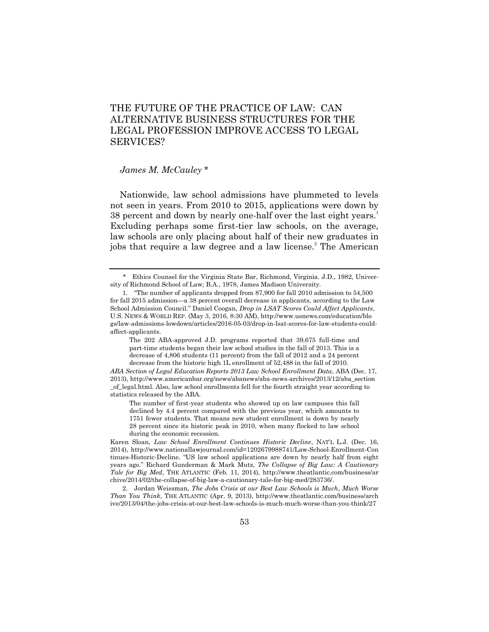## THE FUTURE OF THE PRACTICE OF LAW: CAN ALTERNATIVE BUSINESS STRUCTURES FOR THE LEGAL PROFESSION IMPROVE ACCESS TO LEGAL SERVICES?

## *James M. McCauley* \*

Nationwide, law school admissions have plummeted to levels not seen in years. From 2010 to 2015, applications were down by 38 percent and down by nearly one-half over the last eight years.<sup>1</sup> Excluding perhaps some first-tier law schools, on the average, law schools are only placing about half of their new graduates in jobs that require a law degree and a law license.<sup>2</sup> The American

The 202 ABA-approved J.D. programs reported that 39,675 full-time and part-time students began their law school studies in the fall of 2013. This is a decrease of 4,806 students (11 percent) from the fall of 2012 and a 24 percent decrease from the historic high 1L enrollment of 52,488 in the fall of 2010.

*ABA Section of Legal Education Reports 2013 Law School Enrollment Data*, ABA (Dec. 17, 2013), http://www.americanbar.org/news/abanews/aba-news-archives/2013/12/aba\_section \_of\_legal.html. Also, law school enrollments fell for the fourth straight year according to statistics released by the ABA.

The number of first-year students who showed up on law campuses this fall declined by 4.4 percent compared with the previous year, which amounts to 1751 fewer students. That means new student enrollment is down by nearly 28 percent since its historic peak in 2010, when many flocked to law school during the economic recession.

2. Jordan Weissman, *The Jobs Crisis at our Best Law Schools is Much*, *Much Worse Than You Think*, THE ATLANTIC (Apr. 9, 2013), http://www.theatlantic.com/business/arch ive/2013/04/the-jobs-crisis-at-our-best-law-schools-is-much-much-worse-than-you-think/27

<sup>\*</sup> Ethics Counsel for the Virginia State Bar, Richmond, Virginia. J.D., 1982, University of Richmond School of Law; B.A., 1978, James Madison University.

<sup>1. &</sup>quot;The number of applicants dropped from 87,900 for fall 2010 admission to 54,500 for fall 2015 admission—a 38 percent overall decrease in applicants, according to the Law School Admission Council.‖ Daniel Coogan, *Drop in LSAT Scores Could Affect Applicants*, U.S. NEWS & WORLD REP. (May 3, 2016, 8:30 AM), http://www.usnews.com/education/blo gs/law-admissions-lowdown/articles/2016-05-03/drop-in-lsat-scores-for-law-students-couldaffect-applicants.

Karen Sloan, *Law School Enrollment Continues Historic Decline*, NAT'L L.J. (Dec. 16, 2014), http://www.nationallawjournal.com/id=1202679988741/Law-School-Enrollment-Con tinues-Historic-Decline. "US law school applications are down by nearly half from eight years ago.‖ Richard Gunderman & Mark Mutz, *The Collapse of Big Law: A Cautionary Tale for Big Med*, THE ATLANTIC (Feb. 11, 2014), http://www.theatlantic.com/business/ar chive/2014/02/the-collapse-of-big-law-a-cautionary-tale-for-big-med/283736/.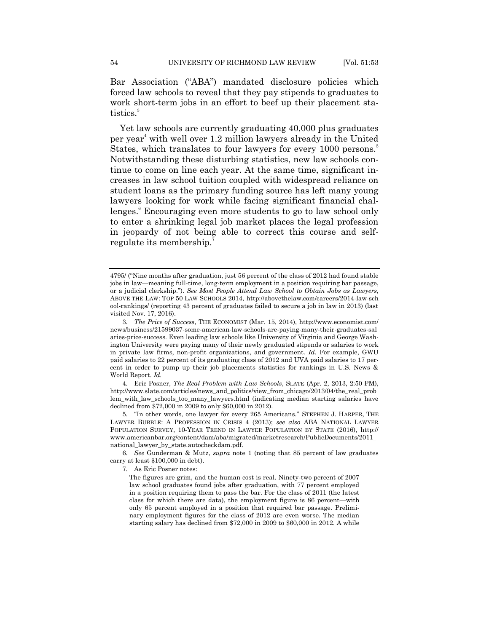Bar Association ("ABA") mandated disclosure policies which forced law schools to reveal that they pay stipends to graduates to work short-term jobs in an effort to beef up their placement statistics.<sup>3</sup>

Yet law schools are currently graduating 40,000 plus graduates per year <sup>4</sup> with well over 1.2 million lawyers already in the United States, which translates to four lawyers for every 1000 persons.<sup>5</sup> Notwithstanding these disturbing statistics, new law schools continue to come on line each year. At the same time, significant increases in law school tuition coupled with widespread reliance on student loans as the primary funding source has left many young lawyers looking for work while facing significant financial challenges.<sup>6</sup> Encouraging even more students to go to law school only to enter a shrinking legal job market places the legal profession in jeopardy of not being able to correct this course and selfregulate its membership.<sup>7</sup>

4. Eric Posner, *The Real Problem with Law Schools*, SLATE (Apr. 2, 2013, 2:50 PM), http://www.slate.com/articles/news\_and\_politics/view\_from\_chicago/2013/04/the\_real\_prob lem\_with\_law\_schools\_too\_many\_lawyers.html (indicating median starting salaries have declined from \$72,000 in 2009 to only \$60,000 in 2012).

5. "In other words, one lawyer for every 265 Americans." STEPHEN J. HARPER, THE LAWYER BUBBLE: A PROFESSION IN CRISIS 4 (2013); *see also* ABA NATIONAL LAWYER POPULATION SURVEY, 10-YEAR TREND IN LAWYER POPULATION BY STATE (2016), http:// www.americanbar.org/content/dam/aba/migrated/marketresearch/PublicDocuments/2011\_ national\_lawyer\_by\_state.autocheckdam.pdf.

6. *See* Gunderman & Mutz, *supra* note 1 (noting that 85 percent of law graduates carry at least \$100,000 in debt).

7. As Eric Posner notes:

The figures are grim, and the human cost is real. Ninety-two percent of 2007 law school graduates found jobs after graduation, with 77 percent employed in a position requiring them to pass the bar. For the class of 2011 (the latest class for which there are data), the employment figure is 86 percent—with only 65 percent employed in a position that required bar passage. Preliminary employment figures for the class of 2012 are even worse. The median starting salary has declined from \$72,000 in 2009 to \$60,000 in 2012. A while

<sup>4795/ (&</sup>quot;Nine months after graduation, just 56 percent of the class of 2012 had found stable jobs in law—meaning full-time, long-term employment in a position requiring bar passage, or a judicial clerkship."). *See Most People Attend Law School to Obtain Jobs as Lawyers*, ABOVE THE LAW: TOP 50 LAW SCHOOLS 2014, http://abovethelaw.com/careers/2014-law-sch ool-rankings/ (reporting 43 percent of graduates failed to secure a job in law in 2013) (last visited Nov. 17, 2016).

<sup>3.</sup> *The Price of Success*, THE ECONOMIST (Mar. 15, 2014), http://www.economist.com/ news/business/21599037-some-american-law-schools-are-paying-many-their-graduates-sal aries-price-success. Even leading law schools like University of Virginia and George Washington University were paying many of their newly graduated stipends or salaries to work in private law firms, non-profit organizations, and government. *Id.* For example, GWU paid salaries to 22 percent of its graduating class of 2012 and UVA paid salaries to 17 percent in order to pump up their job placements statistics for rankings in U.S. News & World Report. *Id.*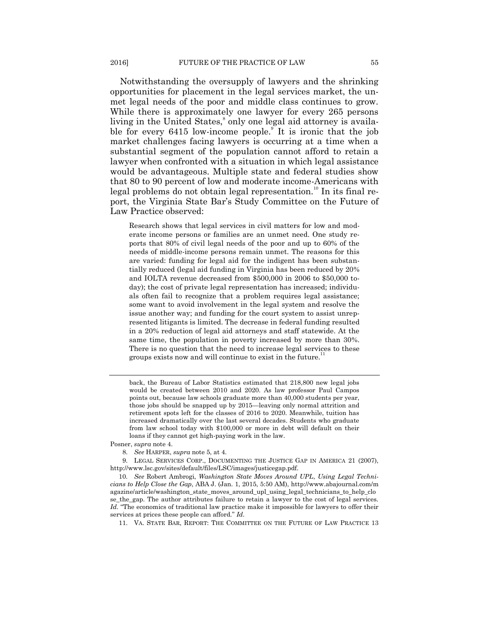Notwithstanding the oversupply of lawyers and the shrinking opportunities for placement in the legal services market, the unmet legal needs of the poor and middle class continues to grow. While there is approximately one lawyer for every 265 persons living in the United States,<sup>8</sup> only one legal aid attorney is available for every 6415 low-income people.<sup>9</sup> It is ironic that the job market challenges facing lawyers is occurring at a time when a substantial segment of the population cannot afford to retain a lawyer when confronted with a situation in which legal assistance would be advantageous. Multiple state and federal studies show that 80 to 90 percent of low and moderate income-Americans with legal problems do not obtain legal representation.<sup>10</sup> In its final report, the Virginia State Bar's Study Committee on the Future of Law Practice observed:

Research shows that legal services in civil matters for low and moderate income persons or families are an unmet need. One study reports that 80% of civil legal needs of the poor and up to 60% of the needs of middle-income persons remain unmet. The reasons for this are varied: funding for legal aid for the indigent has been substantially reduced (legal aid funding in Virginia has been reduced by 20% and IOLTA revenue decreased from \$500,000 in 2006 to \$50,000 today); the cost of private legal representation has increased; individuals often fail to recognize that a problem requires legal assistance; some want to avoid involvement in the legal system and resolve the issue another way; and funding for the court system to assist unrepresented litigants is limited. The decrease in federal funding resulted in a 20% reduction of legal aid attorneys and staff statewide. At the same time, the population in poverty increased by more than 30%. There is no question that the need to increase legal services to these groups exists now and will continue to exist in the future.<sup>11</sup>

back, the Bureau of Labor Statistics estimated that 218,800 new legal jobs would be created between 2010 and 2020. As law professor Paul Campos points out, because law schools graduate more than 40,000 students per year, those jobs should be snapped up by 2015—leaving only normal attrition and retirement spots left for the classes of 2016 to 2020. Meanwhile, tuition has increased dramatically over the last several decades. Students who graduate from law school today with \$100,000 or more in debt will default on their loans if they cannot get high-paying work in the law.

Posner, *supra* note 4.

8. *See* HARPER, *supra* note 5, at 4.

9. LEGAL SERVICES CORP., DOCUMENTING THE JUSTICE GAP IN AMERICA 21 (2007), http://www.lsc.gov/sites/default/files/LSC/images/justicegap.pdf.

10. *See* Robert Ambrogi, *Washington State Moves Around UPL*, *Using Legal Technicians to Help Close the Gap*, ABA J. (Jan. 1, 2015, 5:50 AM), http://www.abajournal.com/m agazine/article/washington\_state\_moves\_around\_upl\_using\_legal\_technicians\_to\_help\_clo se the gap. The author attributes failure to retain a lawyer to the cost of legal services. Id. "The economics of traditional law practice make it impossible for lawyers to offer their services at prices these people can afford." *Id*.

11. VA. STATE BAR, REPORT: THE COMMITTEE ON THE FUTURE OF LAW PRACTICE 13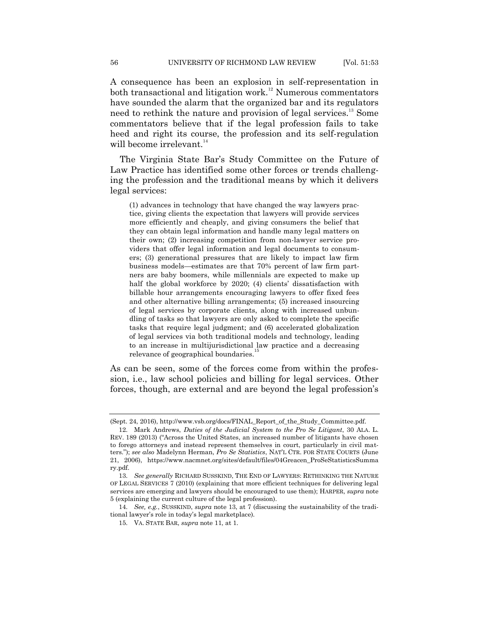A consequence has been an explosion in self-representation in both transactional and litigation work.<sup>12</sup> Numerous commentators have sounded the alarm that the organized bar and its regulators need to rethink the nature and provision of legal services.<sup>13</sup> Some commentators believe that if the legal profession fails to take heed and right its course, the profession and its self-regulation will become irrelevant.<sup>14</sup>

The Virginia State Bar's Study Committee on the Future of Law Practice has identified some other forces or trends challenging the profession and the traditional means by which it delivers legal services:

(1) advances in technology that have changed the way lawyers practice, giving clients the expectation that lawyers will provide services more efficiently and cheaply, and giving consumers the belief that they can obtain legal information and handle many legal matters on their own; (2) increasing competition from non-lawyer service providers that offer legal information and legal documents to consumers; (3) generational pressures that are likely to impact law firm business models—estimates are that 70% percent of law firm partners are baby boomers, while millennials are expected to make up half the global workforce by 2020; (4) clients' dissatisfaction with billable hour arrangements encouraging lawyers to offer fixed fees and other alternative billing arrangements; (5) increased insourcing of legal services by corporate clients, along with increased unbundling of tasks so that lawyers are only asked to complete the specific tasks that require legal judgment; and (6) accelerated globalization of legal services via both traditional models and technology, leading to an increase in multijurisdictional law practice and a decreasing relevance of geographical boundaries.<sup>15</sup>

As can be seen, some of the forces come from within the profession, i.e., law school policies and billing for legal services. Other forces, though, are external and are beyond the legal profession's

<sup>(</sup>Sept. 24, 2016), http://www.vsb.org/docs/FINAL\_Report\_of\_the\_Study\_Committee.pdf.

<sup>12.</sup> Mark Andrews, *Duties of the Judicial System to the Pro Se Litigant*, 30 ALA. L. REV. 189 (2013) ("Across the United States, an increased number of litigants have chosen to forego attorneys and instead represent themselves in court, particularly in civil matters.‖); *see also* Madelynn Herman, *Pro Se Statistics*, NAT'L CTR. FOR STATE COURTS (June 21, 2006), https://www.nacmnet.org/sites/default/files/04Greacen\_ProSeStatisticsSumma ry.pdf.

<sup>13.</sup> *See generally* RICHARD SUSSKIND, THE END OF LAWYERS: RETHINKING THE NATURE OF LEGAL SERVICES 7 (2010) (explaining that more efficient techniques for delivering legal services are emerging and lawyers should be encouraged to use them); HARPER, *supra* note 5 (explaining the current culture of the legal profession).

<sup>14.</sup> *See, e.g.*, SUSSKIND, *supra* note 13, at 7 (discussing the sustainability of the traditional lawyer's role in today's legal marketplace).

<sup>15.</sup> VA. STATE BAR, *supra* note 11, at 1.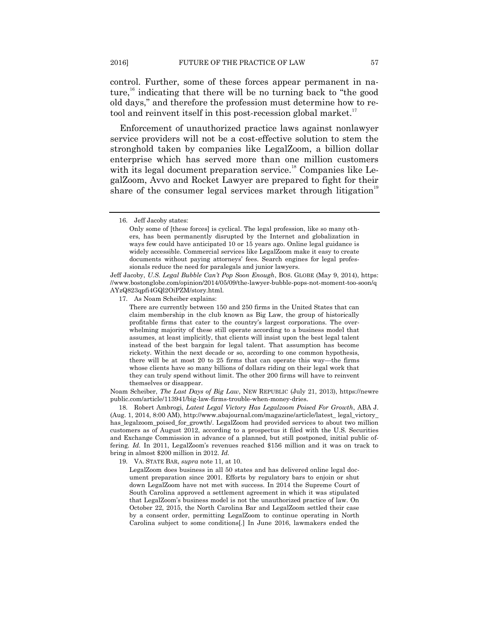control. Further, some of these forces appear permanent in nature,<sup>16</sup> indicating that there will be no turning back to "the good old days," and therefore the profession must determine how to retool and reinvent itself in this post-recession global market.<sup>17</sup>

Enforcement of unauthorized practice laws against nonlawyer service providers will not be a cost-effective solution to stem the stronghold taken by companies like LegalZoom, a billion dollar enterprise which has served more than one million customers with its legal document preparation service.<sup>18</sup> Companies like LegalZoom, Avvo and Rocket Lawyer are prepared to fight for their share of the consumer legal services market through litigation<sup>19</sup>

Jeff Jacoby, *U.S. Legal Bubble Can't Pop Soon Enough*, BOS. GLOBE (May 9, 2014), https: //www.bostonglobe.com/opinion/2014/05/09/the-lawyer-bubble-pops-not-moment-too-soon/q AYzQ823qpfi4GQl2OiPZM/story.html.

17. As Noam Scheiber explains:

There are currently between 150 and 250 firms in the United States that can claim membership in the club known as Big Law, the group of historically profitable firms that cater to the country's largest corporations. The overwhelming majority of these still operate according to a business model that assumes, at least implicitly, that clients will insist upon the best legal talent instead of the best bargain for legal talent. That assumption has become rickety. Within the next decade or so, according to one common hypothesis, there will be at most 20 to 25 firms that can operate this way—the firms whose clients have so many billions of dollars riding on their legal work that they can truly spend without limit. The other 200 firms will have to reinvent themselves or disappear.

Noam Scheiber, *The Last Days of Big Law*, NEW REPUBLIC (July 21, 2013), https://newre public.com/article/113941/big-law-firms-trouble-when-money-dries.

18. Robert Ambrogi, *Latest Legal Victory Has Legalzoom Poised For Growth*, ABA J. (Aug. 1, 2014, 8:00 AM), http://www.abajournal.com/magazine/article/latest\_ legal\_victory\_ has\_legalzoom\_poised\_for\_growth/. LegalZoom had provided services to about two million customers as of August 2012, according to a prospectus it filed with the U.S. Securities and Exchange Commission in advance of a planned, but still postponed, initial public offering. *Id.* In 2011, LegalZoom's revenues reached \$156 million and it was on track to bring in almost \$200 million in 2012. *Id.*

19. VA. STATE BAR, *supra* note 11, at 10.

LegalZoom does business in all 50 states and has delivered online legal document preparation since 2001. Efforts by regulatory bars to enjoin or shut down LegalZoom have not met with success. In 2014 the Supreme Court of South Carolina approved a settlement agreement in which it was stipulated that LegalZoom's business model is not the unauthorized practice of law. On October 22, 2015, the North Carolina Bar and LegalZoom settled their case by a consent order, permitting LegalZoom to continue operating in North Carolina subject to some conditions[.] In June 2016, lawmakers ended the

<sup>16.</sup> Jeff Jacoby states:

Only some of [these forces] is cyclical. The legal profession, like so many others, has been permanently disrupted by the Internet and globalization in ways few could have anticipated 10 or 15 years ago. Online legal guidance is widely accessible. Commercial services like LegalZoom make it easy to create documents without paying attorneys' fees. Search engines for legal professionals reduce the need for paralegals and junior lawyers.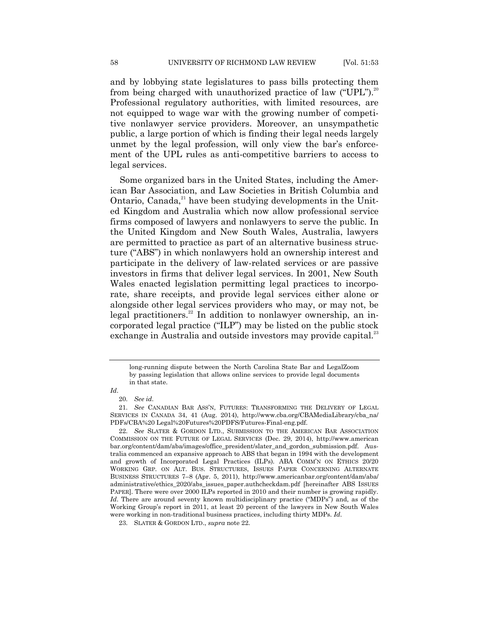and by lobbying state legislatures to pass bills protecting them from being charged with unauthorized practice of law ("UPL").<sup>20</sup> Professional regulatory authorities, with limited resources, are not equipped to wage war with the growing number of competitive nonlawyer service providers. Moreover, an unsympathetic public, a large portion of which is finding their legal needs largely unmet by the legal profession, will only view the bar's enforcement of the UPL rules as anti-competitive barriers to access to legal services.

Some organized bars in the United States, including the American Bar Association, and Law Societies in British Columbia and Ontario, Canada, $^{21}$  have been studying developments in the United Kingdom and Australia which now allow professional service firms composed of lawyers and nonlawyers to serve the public. In the United Kingdom and New South Wales, Australia, lawyers are permitted to practice as part of an alternative business structure ("ABS") in which nonlawyers hold an ownership interest and participate in the delivery of law-related services or are passive investors in firms that deliver legal services. In 2001, New South Wales enacted legislation permitting legal practices to incorporate, share receipts, and provide legal services either alone or alongside other legal services providers who may, or may not, be legal practitioners.<sup>22</sup> In addition to nonlawyer ownership, an incorporated legal practice ("ILP") may be listed on the public stock exchange in Australia and outside investors may provide capital.<sup>23</sup>

long-running dispute between the North Carolina State Bar and LegalZoom by passing legislation that allows online services to provide legal documents in that state.

*Id*.

<sup>20.</sup> *See id*.

<sup>21.</sup> *See* CANADIAN BAR ASS'N, FUTURES: TRANSFORMING THE DELIVERY OF LEGAL SERVICES IN CANADA 34, 41 (Aug. 2014), http://www.cba.org/CBAMediaLibrary/cba\_na/ PDFs/CBA%20 Legal%20Futures%20PDFS/Futures-Final-eng.pdf.

<sup>22.</sup> *See* SLATER & GORDON LTD., SUBMISSION TO THE AMERICAN BAR ASSOCIATION COMMISSION ON THE FUTURE OF LEGAL SERVICES (Dec. 29, 2014), http://www.american bar.org/content/dam/aba/images/office\_president/slater\_and\_gordon\_submission.pdf. Australia commenced an expansive approach to ABS that began in 1994 with the development and growth of Incorporated Legal Practices (ILPs). ABA COMM'N ON ETHICS 20/20 WORKING GRP. ON ALT. BUS. STRUCTURES, ISSUES PAPER CONCERNING ALTERNATE BUSINESS STRUCTURES 7–8 (Apr. 5, 2011), http://www.americanbar.org/content/dam/aba/ administrative/ethics\_2020/abs\_issues\_paper.authcheckdam.pdf [hereinafter ABS ISSUES PAPER]. There were over 2000 ILPs reported in 2010 and their number is growing rapidly. *Id*. There are around seventy known multidisciplinary practice ("MDPs") and, as of the Working Group's report in 2011, at least 20 percent of the lawyers in New South Wales were working in non-traditional business practices, including thirty MDPs. *Id*.

<sup>23.</sup> SLATER & GORDON LTD., *supra* note 22.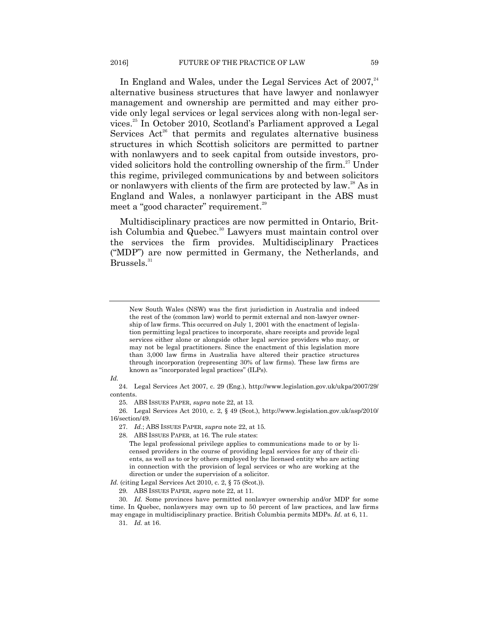In England and Wales, under the Legal Services Act of  $2007$ ,  $24$ alternative business structures that have lawyer and nonlawyer management and ownership are permitted and may either provide only legal services or legal services along with non-legal services.<sup>25</sup> In October 2010, Scotland's Parliament approved a Legal Services  $Act^{26}$  that permits and regulates alternative business structures in which Scottish solicitors are permitted to partner with nonlawyers and to seek capital from outside investors, provided solicitors hold the controlling ownership of the firm.<sup>27</sup> Under this regime, privileged communications by and between solicitors or nonlawyers with clients of the firm are protected by law.<sup>28</sup> As in England and Wales, a nonlawyer participant in the ABS must

Multidisciplinary practices are now permitted in Ontario, British Columbia and Quebec.<sup>30</sup> Lawyers must maintain control over the services the firm provides. Multidisciplinary Practices ("MDP") are now permitted in Germany, the Netherlands, and Brussels. 31

*Id.* 

24. Legal Services Act 2007, c. 29 (Eng.), http://www.legislation.gov.uk/ukpa/2007/29/ contents.

25. ABS ISSUES PAPER, *supra* note 22, at 13.

meet a "good character" requirement.<sup>29</sup>

26. Legal Services Act 2010, c. 2, § 49 (Scot.), http://www.legislation.gov.uk/asp/2010/ 16/section/49.

27. *Id.*; ABS ISSUES PAPER, *supra* note 22, at 15.

28. ABS ISSUES PAPER, at 16. The rule states:

The legal professional privilege applies to communications made to or by licensed providers in the course of providing legal services for any of their clients, as well as to or by others employed by the licensed entity who are acting in connection with the provision of legal services or who are working at the direction or under the supervision of a solicitor.

*Id.* (citing Legal Services Act 2010, c. 2, § 75 (Scot.)).

29. ABS ISSUES PAPER, *supra* note 22, at 11.

30. *Id.* Some provinces have permitted nonlawyer ownership and/or MDP for some time. In Quebec, nonlawyers may own up to 50 percent of law practices, and law firms may engage in multidisciplinary practice. British Columbia permits MDPs. *Id*. at 6, 11.

31. *Id.* at 16.

New South Wales (NSW) was the first jurisdiction in Australia and indeed the rest of the (common law) world to permit external and non-lawyer ownership of law firms. This occurred on July 1, 2001 with the enactment of legislation permitting legal practices to incorporate, share receipts and provide legal services either alone or alongside other legal service providers who may, or may not be legal practitioners. Since the enactment of this legislation more than 3,000 law firms in Australia have altered their practice structures through incorporation (representing 30% of law firms). These law firms are known as "incorporated legal practices" (ILPs).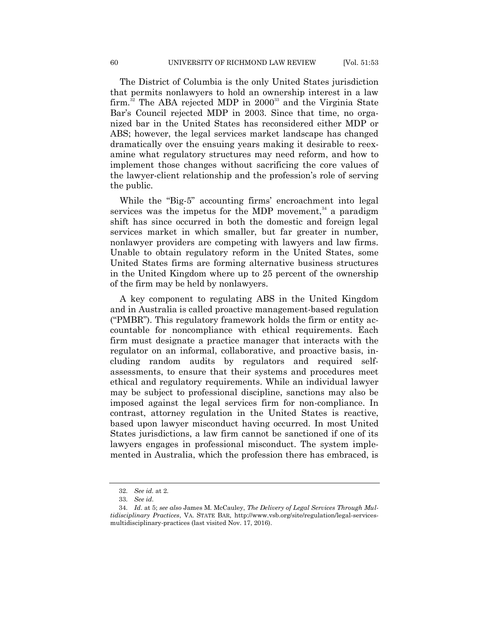The District of Columbia is the only United States jurisdiction that permits nonlawyers to hold an ownership interest in a law firm.<sup>32</sup> The ABA rejected MDP in  $2000^{33}$  and the Virginia State Bar's Council rejected MDP in 2003. Since that time, no organized bar in the United States has reconsidered either MDP or ABS; however, the legal services market landscape has changed dramatically over the ensuing years making it desirable to reexamine what regulatory structures may need reform, and how to implement those changes without sacrificing the core values of the lawyer-client relationship and the profession's role of serving the public.

While the "Big-5" accounting firms' encroachment into legal services was the impetus for the MDP movement, $34$  a paradigm shift has since occurred in both the domestic and foreign legal services market in which smaller, but far greater in number, nonlawyer providers are competing with lawyers and law firms. Unable to obtain regulatory reform in the United States, some United States firms are forming alternative business structures in the United Kingdom where up to 25 percent of the ownership of the firm may be held by nonlawyers.

A key component to regulating ABS in the United Kingdom and in Australia is called proactive management-based regulation ("PMBR"). This regulatory framework holds the firm or entity accountable for noncompliance with ethical requirements. Each firm must designate a practice manager that interacts with the regulator on an informal, collaborative, and proactive basis, including random audits by regulators and required selfassessments, to ensure that their systems and procedures meet ethical and regulatory requirements. While an individual lawyer may be subject to professional discipline, sanctions may also be imposed against the legal services firm for non-compliance. In contrast, attorney regulation in the United States is reactive, based upon lawyer misconduct having occurred. In most United States jurisdictions, a law firm cannot be sanctioned if one of its lawyers engages in professional misconduct. The system implemented in Australia, which the profession there has embraced, is

<sup>32.</sup> *See id.* at 2.

<sup>33.</sup> *See id*.

<sup>34.</sup> *Id*. at 5; *see also* James M. McCauley, *The Delivery of Legal Services Through Multidisciplinary Practices*, VA. STATE BAR, http://www.vsb.org/site/regulation/legal-servicesmultidisciplinary-practices (last visited Nov. 17, 2016).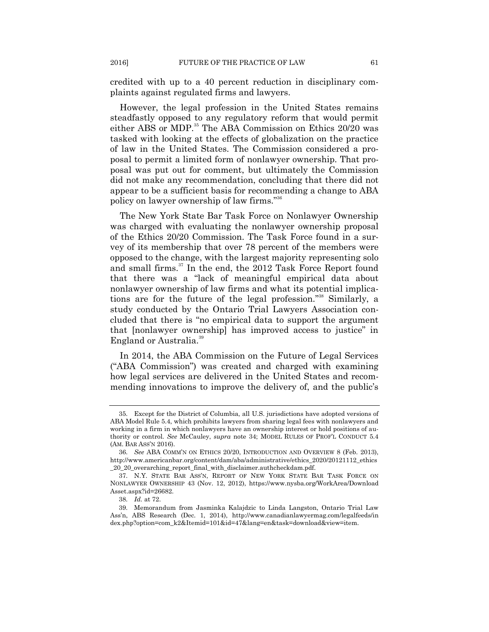credited with up to a 40 percent reduction in disciplinary complaints against regulated firms and lawyers.

However, the legal profession in the United States remains steadfastly opposed to any regulatory reform that would permit either ABS or MDP.<sup>35</sup> The ABA Commission on Ethics 20/20 was tasked with looking at the effects of globalization on the practice of law in the United States. The Commission considered a proposal to permit a limited form of nonlawyer ownership. That proposal was put out for comment, but ultimately the Commission did not make any recommendation, concluding that there did not appear to be a sufficient basis for recommending a change to ABA policy on lawyer ownership of law firms."<sup>36</sup>

The New York State Bar Task Force on Nonlawyer Ownership was charged with evaluating the nonlawyer ownership proposal of the Ethics 20/20 Commission. The Task Force found in a survey of its membership that over 78 percent of the members were opposed to the change, with the largest majority representing solo and small firms.<sup>37</sup> In the end, the 2012 Task Force Report found that there was a "lack of meaningful empirical data about nonlawyer ownership of law firms and what its potential implications are for the future of the legal profession."<sup>38</sup> Similarly, a study conducted by the Ontario Trial Lawyers Association concluded that there is "no empirical data to support the argument that [nonlawyer ownership] has improved access to justice" in England or Australia.<sup>39</sup>

In 2014, the ABA Commission on the Future of Legal Services ("ABA Commission") was created and charged with examining how legal services are delivered in the United States and recommending innovations to improve the delivery of, and the public's

<sup>35.</sup> Except for the District of Columbia, all U.S. jurisdictions have adopted versions of ABA Model Rule 5.4, which prohibits lawyers from sharing legal fees with nonlawyers and working in a firm in which nonlawyers have an ownership interest or hold positions of authority or control. *See* McCauley, *supra* note 34; MODEL RULES OF PROF'L CONDUCT 5.4 (AM. BAR ASS'N 2016).

<sup>36.</sup> *See* ABA COMM'N ON ETHICS 20/20, INTRODUCTION AND OVERVIEW 8 (Feb. 2013), http://www.americanbar.org/content/dam/aba/administrative/ethics\_2020/20121112\_ethics \_20\_20\_overarching\_report\_final\_with\_disclaimer.authcheckdam.pdf.

<sup>37.</sup> N.Y. STATE BAR ASS'N, REPORT OF NEW YORK STATE BAR TASK FORCE ON NONLAWYER OWNERSHIP 43 (Nov. 12, 2012), https://www.nysba.org/WorkArea/Download Asset.aspx?id=26682.

<sup>38.</sup> *Id.* at 72.

<sup>39.</sup> Memorandum from Jasminka Kalajdzic to Linda Langston, Ontario Trial Law Ass'n, ABS Research (Dec. 1, 2014), http://www.canadianlawyermag.com/legalfeeds/in dex.php?option=com\_k2&Itemid=101&id=47&lang=en&task=download&view=item.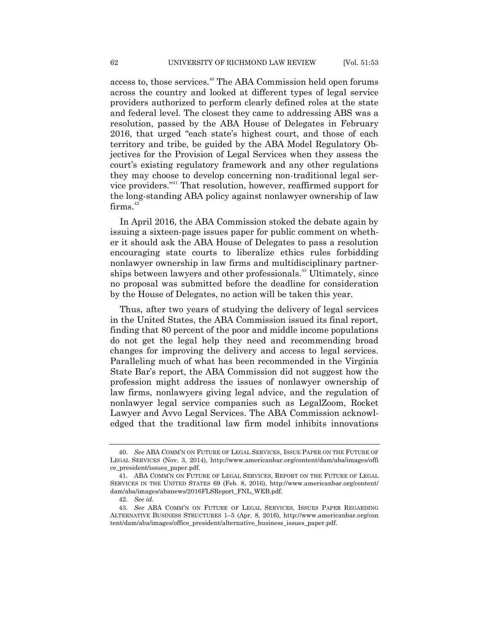access to, those services.<sup>40</sup> The ABA Commission held open forums across the country and looked at different types of legal service providers authorized to perform clearly defined roles at the state and federal level. The closest they came to addressing ABS was a resolution, passed by the ABA House of Delegates in February 2016, that urged "each state's highest court, and those of each territory and tribe, be guided by the ABA Model Regulatory Objectives for the Provision of Legal Services when they assess the court's existing regulatory framework and any other regulations they may choose to develop concerning non-traditional legal service providers."<sup>41</sup> That resolution, however, reaffirmed support for the long-standing ABA policy against nonlawyer ownership of law  $firms.<sup>42</sup>$ 

In April 2016, the ABA Commission stoked the debate again by issuing a sixteen-page issues paper for public comment on whether it should ask the ABA House of Delegates to pass a resolution encouraging state courts to liberalize ethics rules forbidding nonlawyer ownership in law firms and multidisciplinary partnerships between lawyers and other professionals.<sup>43</sup> Ultimately, since no proposal was submitted before the deadline for consideration by the House of Delegates, no action will be taken this year.

Thus, after two years of studying the delivery of legal services in the United States, the ABA Commission issued its final report, finding that 80 percent of the poor and middle income populations do not get the legal help they need and recommending broad changes for improving the delivery and access to legal services. Paralleling much of what has been recommended in the Virginia State Bar's report, the ABA Commission did not suggest how the profession might address the issues of nonlawyer ownership of law firms, nonlawyers giving legal advice, and the regulation of nonlawyer legal service companies such as LegalZoom, Rocket Lawyer and Avvo Legal Services. The ABA Commission acknowledged that the traditional law firm model inhibits innovations

<sup>40.</sup> *See* ABA COMM'N ON FUTURE OF LEGAL SERVICES, ISSUE PAPER ON THE FUTURE OF LEGAL SERVICES (Nov. 3, 2014), http://www.americanbar.org/content/dam/aba/images/offi ce\_president/issues\_paper.pdf.

<sup>41.</sup> ABA COMM'N ON FUTURE OF LEGAL SERVICES, REPORT ON THE FUTURE OF LEGAL SERVICES IN THE UNITED STATES 69 (Feb. 8, 2016), http://www.americanbar.org/content/ dam/aba/images/abanews/2016FLSReport\_FNL\_WEB.pdf.

<sup>42.</sup> *See id*.

<sup>43.</sup> *See* ABA COMM'N ON FUTURE OF LEGAL SERVICES, ISSUES PAPER REGARDING ALTERNATIVE BUSINESS STRUCTURES 1–5 (Apr. 8, 2016), http://www.americanbar.org/con tent/dam/aba/images/office\_president/alternative\_business\_issues\_paper.pdf.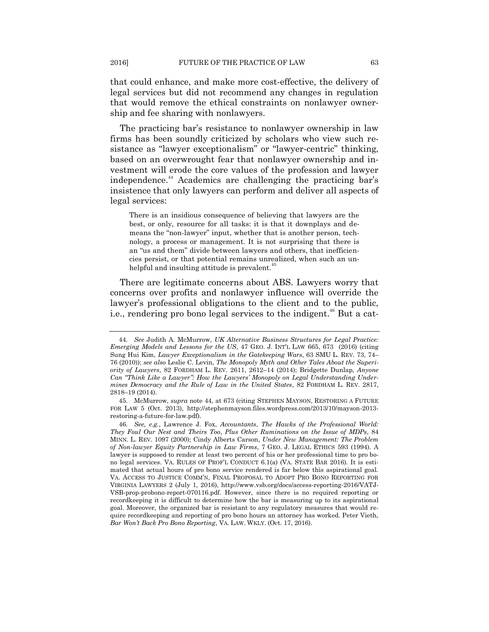that could enhance, and make more cost-effective, the delivery of legal services but did not recommend any changes in regulation that would remove the ethical constraints on nonlawyer ownership and fee sharing with nonlawyers.

The practicing bar's resistance to nonlawyer ownership in law firms has been soundly criticized by scholars who view such resistance as "lawyer exceptionalism" or "lawyer-centric" thinking, based on an overwrought fear that nonlawyer ownership and investment will erode the core values of the profession and lawyer independence.<sup>44</sup> Academics are challenging the practicing bar's insistence that only lawyers can perform and deliver all aspects of legal services:

There is an insidious consequence of believing that lawyers are the best, or only, resource for all tasks: it is that it downplays and demeans the "non-lawyer" input, whether that is another person, technology, a process or management. It is not surprising that there is an "us and them" divide between lawyers and others, that inefficiencies persist, or that potential remains unrealized, when such an unhelpful and insulting attitude is prevalent.<sup>4</sup>

There are legitimate concerns about ABS. Lawyers worry that concerns over profits and nonlawyer influence will override the lawyer's professional obligations to the client and to the public, i.e., rendering pro bono legal services to the indigent.<sup>46</sup> But a cat-

<sup>44.</sup> *See* Judith A. McMurrow, *UK Alternative Business Structures for Legal Practice: Emerging Models and Lessons for the US*, 47 GEO. J. INT'L LAW 665, 673 (2016) (citing Sung Hui Kim, *Lawyer Exceptionalism in the Gatekeeping Wars*, 63 SMU L. REV. 73, 74– 76 (2010)); *see also* Leslie C. Levin, *The Monopoly Myth and Other Tales About the Superiority of Lawyers*, 82 FORDHAM L. REV. 2611, 2612–14 (2014); Bridgette Dunlap, *Anyone Can "Think Like a Lawyer": How the Lawyers' Monopoly on Legal Understanding Undermines Democracy and the Rule of Law in the United States*, 82 FORDHAM L. REV. 2817, 2818–19 (2014).

<sup>45.</sup> McMurrow, *supra* note 44, at 673 (citing STEPHEN MAYSON, RESTORING A FUTURE FOR LAW 5 (Oct. 2013), http://stephenmayson.files.wordpress.com/2013/10/mayson-2013 restoring-a-future-for-law.pdf).

<sup>46.</sup> *See, e.g.*, Lawrence J. Fox, *Accountants*, *The Hawks of the Professional World: They Foul Our Nest and Theirs Too*, *Plus Other Ruminations on the Issue of MDPs*, 84 MINN. L. REV. 1097 (2000); Cindy Alberts Carson, *Under New Management: The Problem of Non-lawyer Equity Partnership in Law Firms*, 7 GEO. J. LEGAL ETHICS 593 (1994). A lawyer is supposed to render at least two percent of his or her professional time to pro bono legal services. VA. RULES OF PROF'L CONDUCT 6.1(a) (VA. STATE BAR 2016). It is estimated that actual hours of pro bono service rendered is far below this aspirational goal. VA. ACCESS TO JUSTICE COMM'N, FINAL PROPOSAL TO ADOPT PRO BONO REPORTING FOR VIRGINIA LAWYERS 2 (July 1, 2016), http://www.vsb.org/docs/access-reporting-2016/VATJ-VSB-prop-probono-report-070116.pdf. However, since there is no required reporting or recordkeeping it is difficult to determine how the bar is measuring up to its aspirational goal. Moreover, the organized bar is resistant to any regulatory measures that would require recordkeeping and reporting of pro bono hours an attorney has worked. Peter Vieth, *Bar Won't Back Pro Bono Reporting*, VA. LAW. WKLY. (Oct. 17, 2016).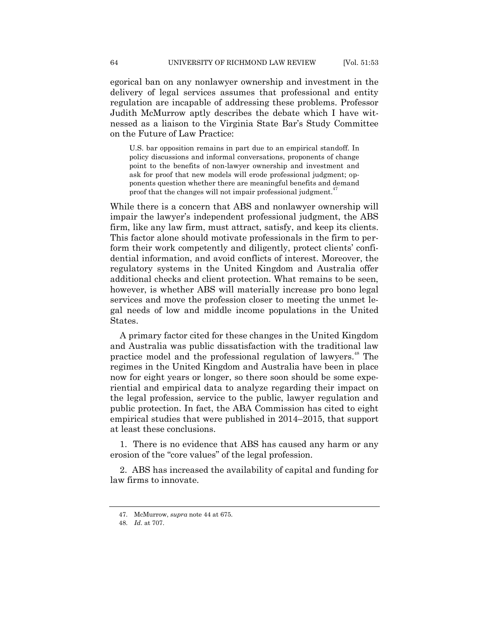egorical ban on any nonlawyer ownership and investment in the delivery of legal services assumes that professional and entity regulation are incapable of addressing these problems. Professor Judith McMurrow aptly describes the debate which I have witnessed as a liaison to the Virginia State Bar's Study Committee on the Future of Law Practice:

U.S. bar opposition remains in part due to an empirical standoff. In policy discussions and informal conversations, proponents of change point to the benefits of non-lawyer ownership and investment and ask for proof that new models will erode professional judgment; opponents question whether there are meaningful benefits and demand proof that the changes will not impair professional judgment.<sup>47</sup>

While there is a concern that ABS and nonlawyer ownership will impair the lawyer's independent professional judgment, the ABS firm, like any law firm, must attract, satisfy, and keep its clients. This factor alone should motivate professionals in the firm to perform their work competently and diligently, protect clients' confidential information, and avoid conflicts of interest. Moreover, the regulatory systems in the United Kingdom and Australia offer additional checks and client protection. What remains to be seen, however, is whether ABS will materially increase pro bono legal services and move the profession closer to meeting the unmet legal needs of low and middle income populations in the United States.

A primary factor cited for these changes in the United Kingdom and Australia was public dissatisfaction with the traditional law practice model and the professional regulation of lawyers.<sup>48</sup> The regimes in the United Kingdom and Australia have been in place now for eight years or longer, so there soon should be some experiential and empirical data to analyze regarding their impact on the legal profession, service to the public, lawyer regulation and public protection. In fact, the ABA Commission has cited to eight empirical studies that were published in 2014–2015, that support at least these conclusions.

1. There is no evidence that ABS has caused any harm or any erosion of the "core values" of the legal profession.

2. ABS has increased the availability of capital and funding for law firms to innovate.

<sup>47.</sup> McMurrow, *supra* note 44 at 675.

<sup>48.</sup> *Id*. at 707.